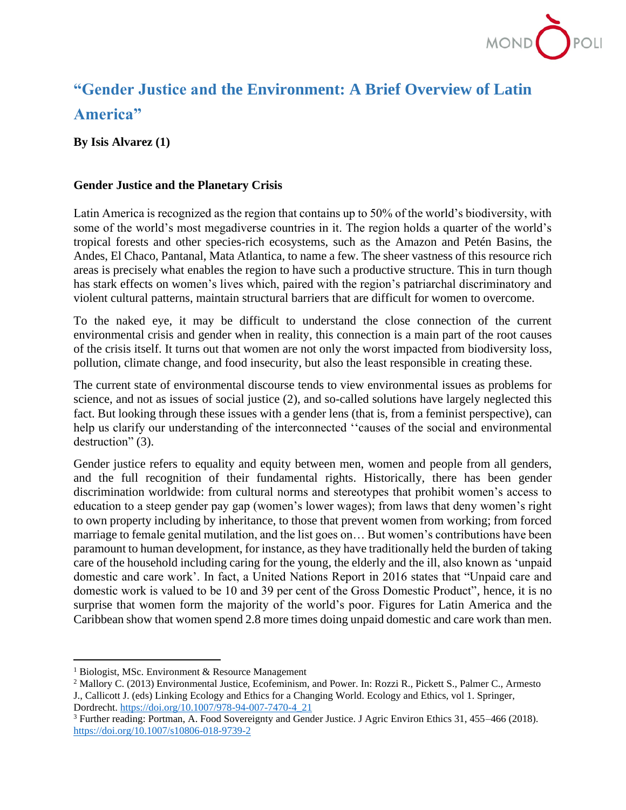

## **"Gender Justice and the Environment: A Brief Overview of Latin America"**

**By Isis Alvarez (1)**

## **Gender Justice and the Planetary Crisis**

Latin America is recognized as the region that contains up to 50% of the world's biodiversity, with some of the world's most megadiverse countries in it. The region holds a quarter of the world's tropical forests and other species-rich ecosystems, such as the Amazon and Petén Basins, the Andes, El Chaco, Pantanal, Mata Atlantica, to name a few. The sheer vastness of this resource rich areas is precisely what enables the region to have such a productive structure. This in turn though has stark effects on women's lives which, paired with the region's patriarchal discriminatory and violent cultural patterns, maintain structural barriers that are difficult for women to overcome.

To the naked eye, it may be difficult to understand the close connection of the current environmental crisis and gender when in reality, this connection is a main part of the root causes of the crisis itself. It turns out that women are not only the worst impacted from biodiversity loss, pollution, climate change, and food insecurity, but also the least responsible in creating these.

The current state of environmental discourse tends to view environmental issues as problems for science, and not as issues of social justice (2), and so-called solutions have largely neglected this fact. But looking through these issues with a gender lens (that is, from a feminist perspective), can help us clarify our understanding of the interconnected ''causes of the social and environmental destruction" (3).

Gender justice refers to equality and equity between men, women and people from all genders, and the full recognition of their fundamental rights. Historically, there has been gender discrimination worldwide: from cultural norms and stereotypes that prohibit women's access to education to a steep gender pay gap (women's lower wages); from laws that deny women's right to own property including by inheritance, to those that prevent women from working; from forced marriage to female genital mutilation, and the list goes on… But women's contributions have been paramount to human development, for instance, as they have traditionally held the burden of taking care of the household including caring for the young, the elderly and the ill, also known as 'unpaid domestic and care work'. In fact, a United Nations Report in 2016 states that "Unpaid care and domestic work is valued to be 10 and 39 per cent of the Gross Domestic Product", hence, it is no surprise that women form the majority of the world's poor. Figures for Latin America and the Caribbean show that women spend 2.8 more times doing unpaid domestic and care work than men.

 $<sup>1</sup>$  Biologist, MSc. Environment & Resource Management</sup>

<sup>2</sup> Mallory C. (2013) Environmental Justice, Ecofeminism, and Power. In: Rozzi R., Pickett S., Palmer C., Armesto J., Callicott J. (eds) Linking Ecology and Ethics for a Changing World. Ecology and Ethics, vol 1. Springer, Dordrecht[. https://doi.org/10.1007/978-94-007-7470-4\\_21](https://doi.org/10.1007/978-94-007-7470-4_21)

<sup>3</sup> Further reading: Portman, A. Food Sovereignty and Gender Justice. J Agric Environ Ethics 31, 455–466 (2018). <https://doi.org/10.1007/s10806-018-9739-2>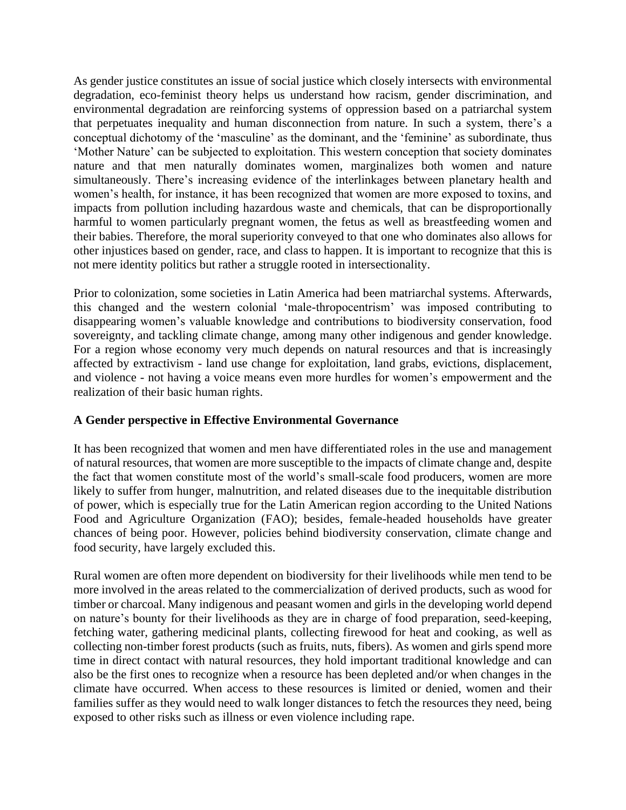As gender justice constitutes an issue of social justice which closely intersects with environmental degradation, eco-feminist theory helps us understand how racism, gender discrimination, and environmental degradation are reinforcing systems of oppression based on a patriarchal system that perpetuates inequality and human disconnection from nature. In such a system, there's a conceptual dichotomy of the 'masculine' as the dominant, and the 'feminine' as subordinate, thus 'Mother Nature' can be subjected to exploitation. This western conception that society dominates nature and that men naturally dominates women, marginalizes both women and nature simultaneously. There's increasing evidence of the interlinkages between planetary health and women's health, for instance, it has been recognized that women are more exposed to toxins, and impacts from pollution including hazardous waste and chemicals, that can be disproportionally harmful to women particularly pregnant women, the fetus as well as breastfeeding women and their babies. Therefore, the moral superiority conveyed to that one who dominates also allows for other injustices based on gender, race, and class to happen. It is important to recognize that this is not mere identity politics but rather a struggle rooted in intersectionality.

Prior to colonization, some societies in Latin America had been matriarchal systems. Afterwards, this changed and the western colonial 'male-thropocentrism' was imposed contributing to disappearing women's valuable knowledge and contributions to biodiversity conservation, food sovereignty, and tackling climate change, among many other indigenous and gender knowledge. For a region whose economy very much depends on natural resources and that is increasingly affected by extractivism - land use change for exploitation, land grabs, evictions, displacement, and violence - not having a voice means even more hurdles for women's empowerment and the realization of their basic human rights.

## **A Gender perspective in Effective Environmental Governance**

It has been recognized that women and men have differentiated roles in the use and management of natural resources, that women are more susceptible to the impacts of climate change and, despite the fact that women constitute most of the world's small-scale food producers, women are more likely to suffer from hunger, malnutrition, and related diseases due to the inequitable distribution of power, which is especially true for the Latin American region according to the United Nations Food and Agriculture Organization (FAO); besides, female-headed households have greater chances of being poor. However, policies behind biodiversity conservation, climate change and food security, have largely excluded this.

Rural women are often more dependent on biodiversity for their livelihoods while men tend to be more involved in the areas related to the commercialization of derived products, such as wood for timber or charcoal. Many indigenous and peasant women and girls in the developing world depend on nature's bounty for their livelihoods as they are in charge of food preparation, seed-keeping, fetching water, gathering medicinal plants, collecting firewood for heat and cooking, as well as collecting non-timber forest products (such as fruits, nuts, fibers). As women and girls spend more time in direct contact with natural resources, they hold important traditional knowledge and can also be the first ones to recognize when a resource has been depleted and/or when changes in the climate have occurred. When access to these resources is limited or denied, women and their families suffer as they would need to walk longer distances to fetch the resources they need, being exposed to other risks such as illness or even violence including rape.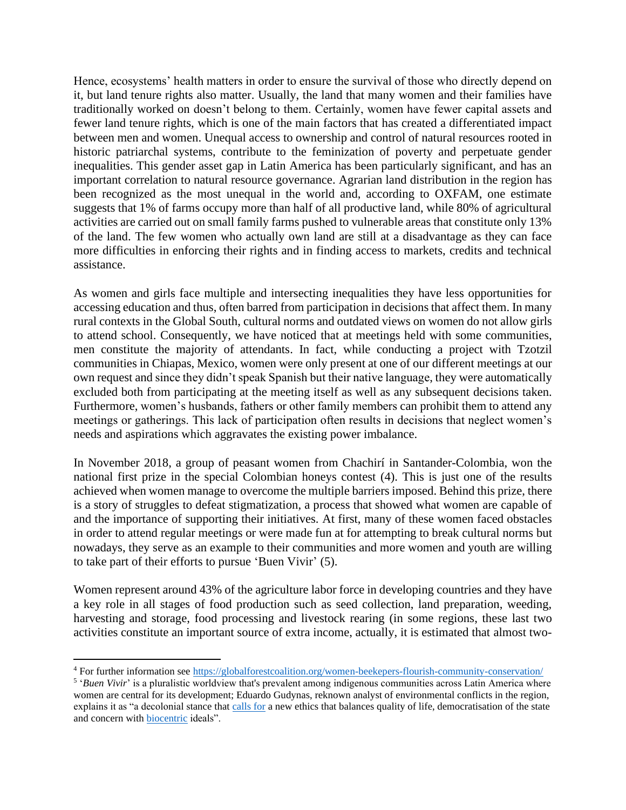Hence, ecosystems' health matters in order to ensure the survival of those who directly depend on it, but land tenure rights also matter. Usually, the land that many women and their families have traditionally worked on doesn't belong to them. Certainly, women have fewer capital assets and fewer land tenure rights, which is one of the main factors that has created a differentiated impact between men and women. Unequal access to ownership and control of natural resources rooted in historic patriarchal systems, contribute to the feminization of poverty and perpetuate gender inequalities. This gender asset gap in Latin America has been particularly significant, and has an important correlation to natural resource governance. Agrarian land distribution in the region has been recognized as the most unequal in the world and, according to OXFAM, one estimate suggests that 1% of farms occupy more than half of all productive land, while 80% of agricultural activities are carried out on small family farms pushed to vulnerable areas that constitute only 13% of the land. The few women who actually own land are still at a disadvantage as they can face more difficulties in enforcing their rights and in finding access to markets, credits and technical assistance.

As women and girls face multiple and intersecting inequalities they have less opportunities for accessing education and thus, often barred from participation in decisions that affect them. In many rural contexts in the Global South, cultural norms and outdated views on women do not allow girls to attend school. Consequently, we have noticed that at meetings held with some communities, men constitute the majority of attendants. In fact, while conducting a project with Tzotzil communities in Chiapas, Mexico, women were only present at one of our different meetings at our own request and since they didn't speak Spanish but their native language, they were automatically excluded both from participating at the meeting itself as well as any subsequent decisions taken. Furthermore, women's husbands, fathers or other family members can prohibit them to attend any meetings or gatherings. This lack of participation often results in decisions that neglect women's needs and aspirations which aggravates the existing power imbalance.

In November 2018, a group of peasant women from Chachirí in Santander-Colombia, won the national first prize in the special Colombian honeys contest (4). This is just one of the results achieved when women manage to overcome the multiple barriers imposed. Behind this prize, there is a story of struggles to defeat stigmatization, a process that showed what women are capable of and the importance of supporting their initiatives. At first, many of these women faced obstacles in order to attend regular meetings or were made fun at for attempting to break cultural norms but nowadays, they serve as an example to their communities and more women and youth are willing to take part of their efforts to pursue 'Buen Vivir' (5).

Women represent around 43% of the agriculture labor force in developing countries and they have a key role in all stages of food production such as seed collection, land preparation, weeding, harvesting and storage, food processing and livestock rearing (in some regions, these last two activities constitute an important source of extra income, actually, it is estimated that almost two-

<sup>4</sup> For further information see<https://globalforestcoalition.org/women-beekepers-flourish-community-conservation/>

<sup>&</sup>lt;sup>5</sup> '*Buen Vivir*' is a pluralistic worldview that's prevalent among indigenous communities across Latin America where women are central for its development; Eduardo Gudynas, reknown analyst of environmental conflicts in the region, explains it as "a decolonial stance that [calls for](http://www.palgrave-journals.com/development/journal/v54/n4/full/dev201186a.html) a new ethics that balances quality of life, democratisation of the state and concern with [biocentric](https://en.wikipedia.org/wiki/Biocentrism_(ethics)) ideals".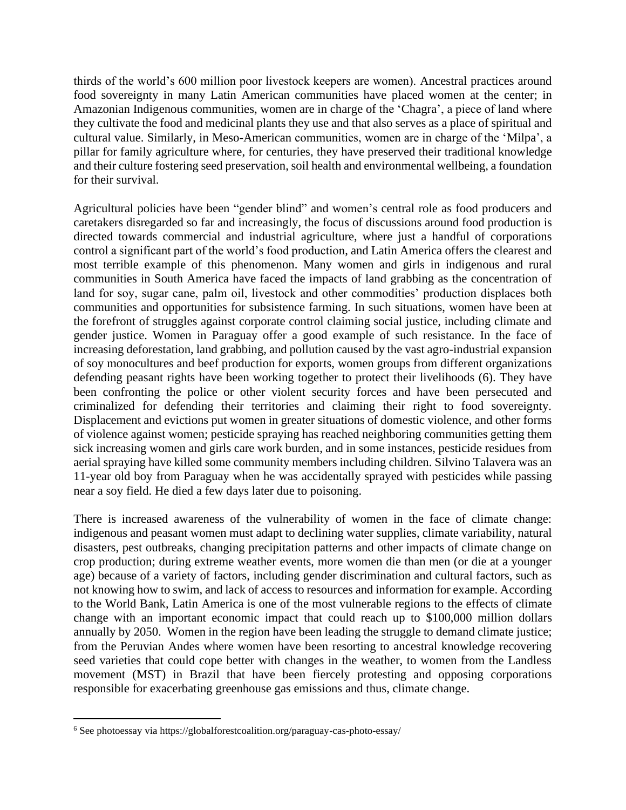thirds of the world's 600 million poor livestock keepers are women). Ancestral practices around food sovereignty in many Latin American communities have placed women at the center; in Amazonian Indigenous communities, women are in charge of the 'Chagra', a piece of land where they cultivate the food and medicinal plants they use and that also serves as a place of spiritual and cultural value. Similarly, in Meso-American communities, women are in charge of the 'Milpa', a pillar for family agriculture where, for centuries, they have preserved their traditional knowledge and their culture fostering seed preservation, soil health and environmental wellbeing, a foundation for their survival.

Agricultural policies have been "gender blind" and women's central role as food producers and caretakers disregarded so far and increasingly, the focus of discussions around food production is directed towards commercial and industrial agriculture, where just a handful of corporations control a significant part of the world's food production, and Latin America offers the clearest and most terrible example of this phenomenon. Many women and girls in indigenous and rural communities in South America have faced the impacts of land grabbing as the concentration of land for soy, sugar cane, palm oil, livestock and other commodities' production displaces both communities and opportunities for subsistence farming. In such situations, women have been at the forefront of struggles against corporate control claiming social justice, including climate and gender justice. Women in Paraguay offer a good example of such resistance. In the face of increasing deforestation, land grabbing, and pollution caused by the vast agro-industrial expansion of soy monocultures and beef production for exports, women groups from different organizations defending peasant rights have been working together to protect their livelihoods (6). They have been confronting the police or other violent security forces and have been persecuted and criminalized for defending their territories and claiming their right to food sovereignty. Displacement and evictions put women in greater situations of domestic violence, and other forms of violence against women; pesticide spraying has reached neighboring communities getting them sick increasing women and girls care work burden, and in some instances, pesticide residues from aerial spraying have killed some community members including children. Silvino Talavera was an 11-year old boy from Paraguay when he was accidentally sprayed with pesticides while passing near a soy field. He died a few days later due to poisoning.

There is increased awareness of the vulnerability of women in the face of climate change: indigenous and peasant women must adapt to declining water supplies, climate variability, natural disasters, pest outbreaks, changing precipitation patterns and other impacts of climate change on crop production; during extreme weather events, more women die than men (or die at a younger age) because of a variety of factors, including gender discrimination and cultural factors, such as not knowing how to swim, and lack of access to resources and information for example. According to the World Bank, Latin America is one of the most vulnerable regions to the effects of climate change with an important economic impact that could reach up to \$100,000 million dollars annually by 2050. Women in the region have been leading the struggle to demand climate justice; from the Peruvian Andes where women have been resorting to ancestral knowledge recovering seed varieties that could cope better with changes in the weather, to women from the Landless movement (MST) in Brazil that have been fiercely protesting and opposing corporations responsible for exacerbating greenhouse gas emissions and thus, climate change.

<sup>6</sup> See photoessay via https://globalforestcoalition.org/paraguay-cas-photo-essay/